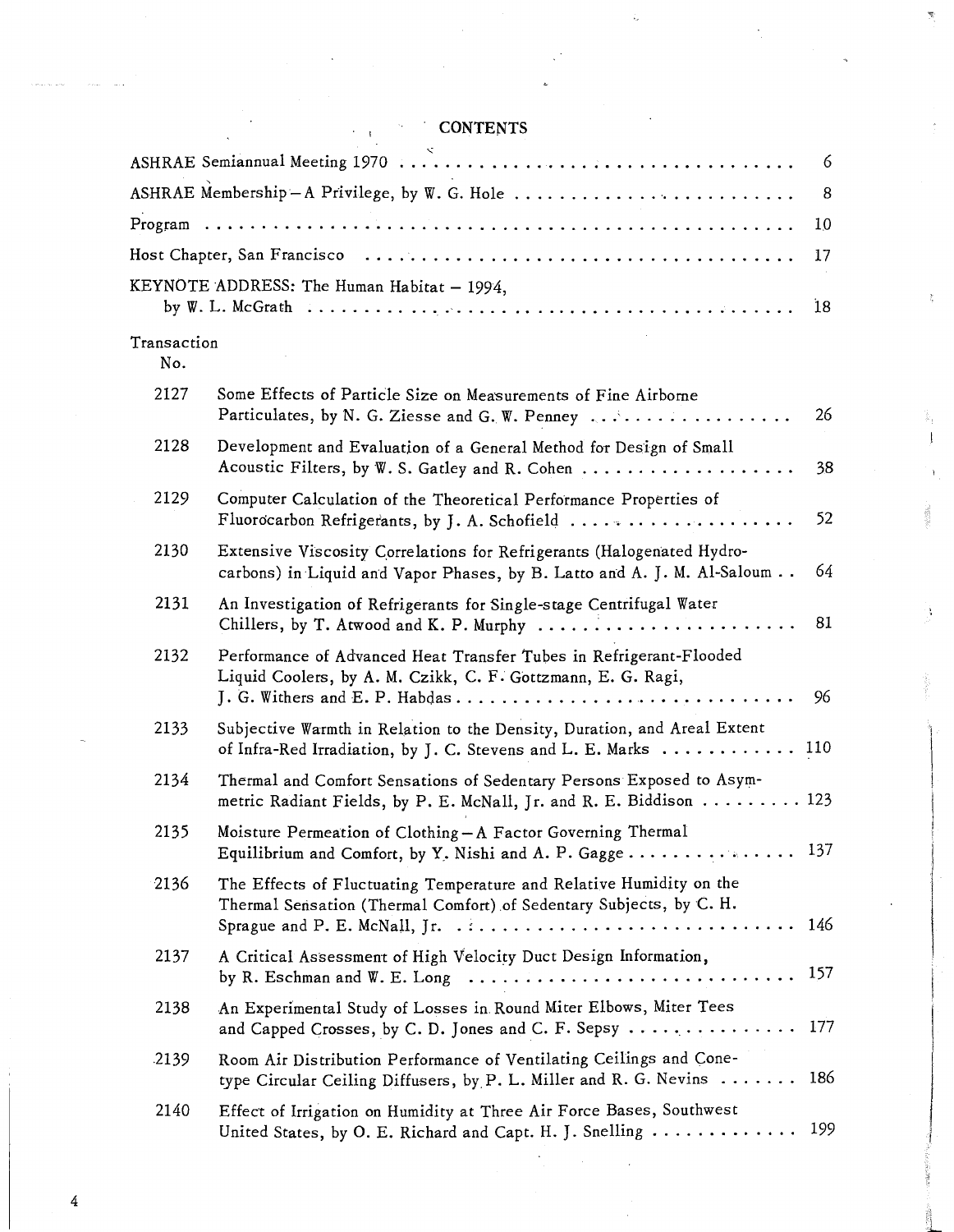## , CONTENTS

|                                              |                                                                                                                                                                   | 6   |  |  |  |  |
|----------------------------------------------|-------------------------------------------------------------------------------------------------------------------------------------------------------------------|-----|--|--|--|--|
| ASHRAE Membership-A Privilege, by W. G. Hole |                                                                                                                                                                   |     |  |  |  |  |
|                                              |                                                                                                                                                                   | 10  |  |  |  |  |
|                                              |                                                                                                                                                                   | 17  |  |  |  |  |
|                                              | KEYNOTE ADDRESS: The Human Habitat $-1994$ ,                                                                                                                      | 18  |  |  |  |  |
| Transaction<br>No.                           |                                                                                                                                                                   |     |  |  |  |  |
| 2127                                         | Some Effects of Particle Size on Measurements of Fine Airborne<br>Particulates, by N. G. Ziesse and G. W. Penney $\ldots \ldots \ldots \ldots$                    | 26  |  |  |  |  |
| 2128                                         | Development and Evaluation of a General Method for Design of Small<br>Acoustic Filters, by W. S. Gatley and R. Cohen                                              | 38  |  |  |  |  |
| 2129                                         | Computer Calculation of the Theoretical Performance Properties of<br>Fluorocarbon Refrigerants, by J. A. Schofield                                                | 52  |  |  |  |  |
| 2130                                         | Extensive Viscosity Correlations for Refrigerants (Halogenated Hydro-<br>carbons) in Liquid and Vapor Phases, by B. Latto and A. J. M. Al-Saloum                  | 64  |  |  |  |  |
| 2131                                         | An Investigation of Refrigerants for Single-stage Centrifugal Water<br>Chillers, by T. Atwood and K. P. Murphy                                                    | 81  |  |  |  |  |
| 2132                                         | Performance of Advanced Heat Transfer Tubes in Refrigerant-Flooded<br>Liquid Coolers, by A. M. Czikk, C. F. Gottzmann, E. G. Ragi,                                | 96  |  |  |  |  |
| 2133                                         | Subjective Warmth in Relation to the Density, Duration, and Areal Extent<br>of Infra-Red Irradiation, by J. C. Stevens and L. E. Marks  110                       |     |  |  |  |  |
| 2134                                         | Thermal and Comfort Sensations of Sedentary Persons Exposed to Asym-<br>metric Radiant Fields, by P. E. McNall, Jr. and R. E. Biddison $\ldots \ldots \ldots$ 123 |     |  |  |  |  |
| 2135                                         | Moisture Permeation of Clothing - A Factor Governing Thermal<br>Equilibrium and Comfort, by Y. Nishi and A. P. Gagge 137                                          |     |  |  |  |  |
| 2136                                         | The Effects of Fluctuating Temperature and Relative Humidity on the<br>Thermal Sensation (Thermal Comfort) of Sedentary Subjects, by C. H.                        |     |  |  |  |  |
| 2137                                         | A Critical Assessment of High Velocity Duct Design Information,                                                                                                   | 157 |  |  |  |  |
| 2138                                         | An Experimental Study of Losses in Round Miter Elbows, Miter Tees<br>and Capped Crosses, by C. D. Jones and C. F. Sepsy                                           | 177 |  |  |  |  |
| .2139                                        | Room Air Distribution Performance of Ventilating Ceilings and Cone-<br>type Circular Ceiling Diffusers, by P. L. Miller and R. G. Nevins $\ldots \ldots$ 186      |     |  |  |  |  |
| 2140                                         | Effect of Irrigation on Humidity at Three Air Force Bases, Southwest<br>United States, by O. E. Richard and Capt. H. J. Snelling                                  | 199 |  |  |  |  |